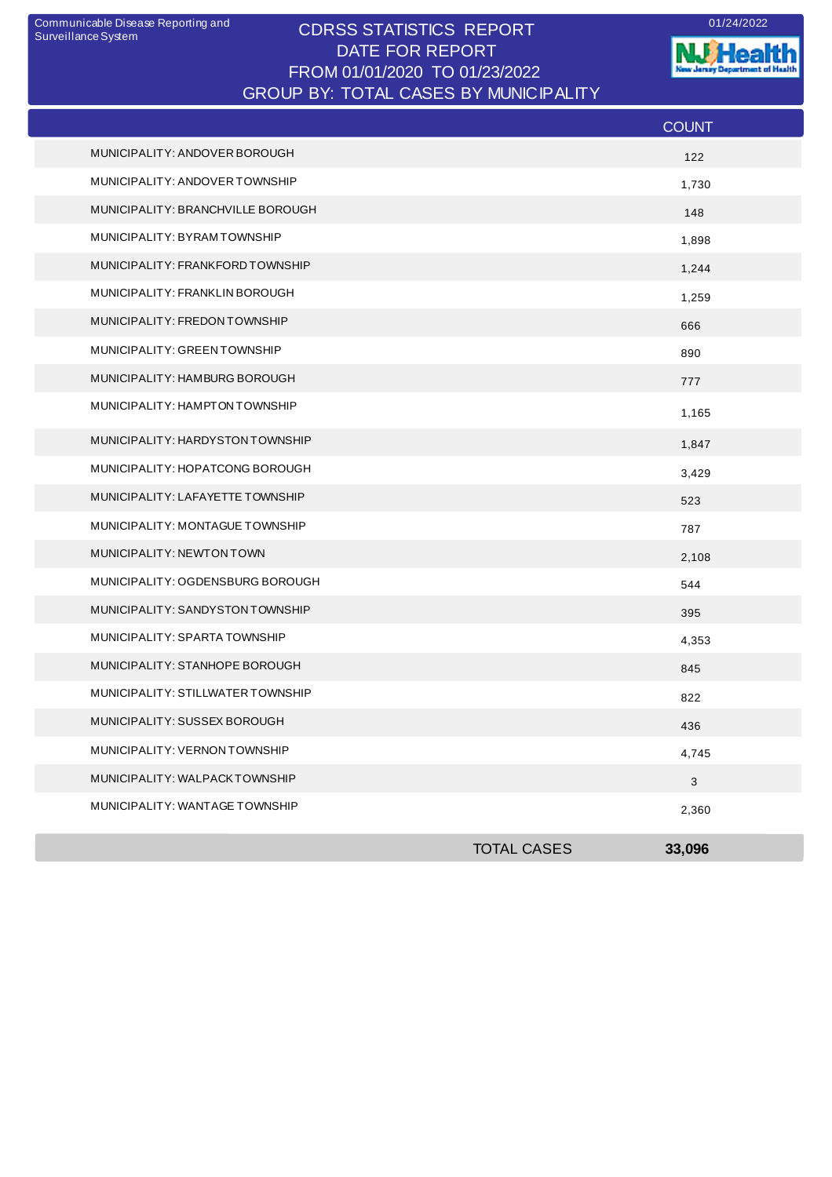## CDRSS STATISTICS REPORT Communicable Disease Reporting and 01/24/2022 DATE FOR REPORT FROM 01/01/2020 TO 01/23/2022 GROUP BY: TOTAL CASES BY MUNICIPALITY

**WHealth** nt of Health ò. antar<br>1910

|                                   |                    | <b>COUNT</b> |
|-----------------------------------|--------------------|--------------|
| MUNICIPALITY: ANDOVER BOROUGH     |                    | 122          |
| MUNICIPALITY: ANDOVER TOWNSHIP    |                    | 1,730        |
| MUNICIPALITY: BRANCHVILLE BOROUGH |                    | 148          |
| MUNICIPALITY: BYRAM TOWNSHIP      |                    | 1,898        |
| MUNICIPALITY: FRANKFORD TOWNSHIP  |                    | 1,244        |
| MUNICIPALITY: FRANKLIN BOROUGH    |                    | 1,259        |
| MUNICIPALITY: FREDON TOWNSHIP     |                    | 666          |
| MUNICIPALITY: GREEN TOWNSHIP      |                    | 890          |
| MUNICIPALITY: HAMBURG BOROUGH     |                    | 777          |
| MUNICIPALITY: HAMPTON TOWNSHIP    |                    | 1,165        |
| MUNICIPALITY: HARDYSTON TOWNSHIP  |                    | 1,847        |
| MUNICIPALITY: HOPATCONG BOROUGH   |                    | 3,429        |
| MUNICIPALITY: LAFAYETTE TOWNSHIP  |                    | 523          |
| MUNICIPALITY: MONTAGUE TOWNSHIP   |                    | 787          |
| MUNICIPALITY: NEWTON TOWN         |                    | 2,108        |
| MUNICIPALITY: OGDENSBURG BOROUGH  |                    | 544          |
| MUNICIPALITY: SANDYSTON TOWNSHIP  |                    | 395          |
| MUNICIPALITY: SPARTA TOWNSHIP     |                    | 4,353        |
| MUNICIPALITY: STANHOPE BOROUGH    |                    | 845          |
| MUNICIPALITY: STILLWATER TOWNSHIP |                    | 822          |
| MUNICIPALITY: SUSSEX BOROUGH      |                    | 436          |
| MUNICIPALITY: VERNON TOWNSHIP     |                    | 4,745        |
| MUNICIPALITY: WALPACKTOWNSHIP     |                    | $\mathbf{3}$ |
| MUNICIPALITY: WANTAGE TOWNSHIP    |                    | 2,360        |
|                                   | <b>TOTAL CASES</b> | 33,096       |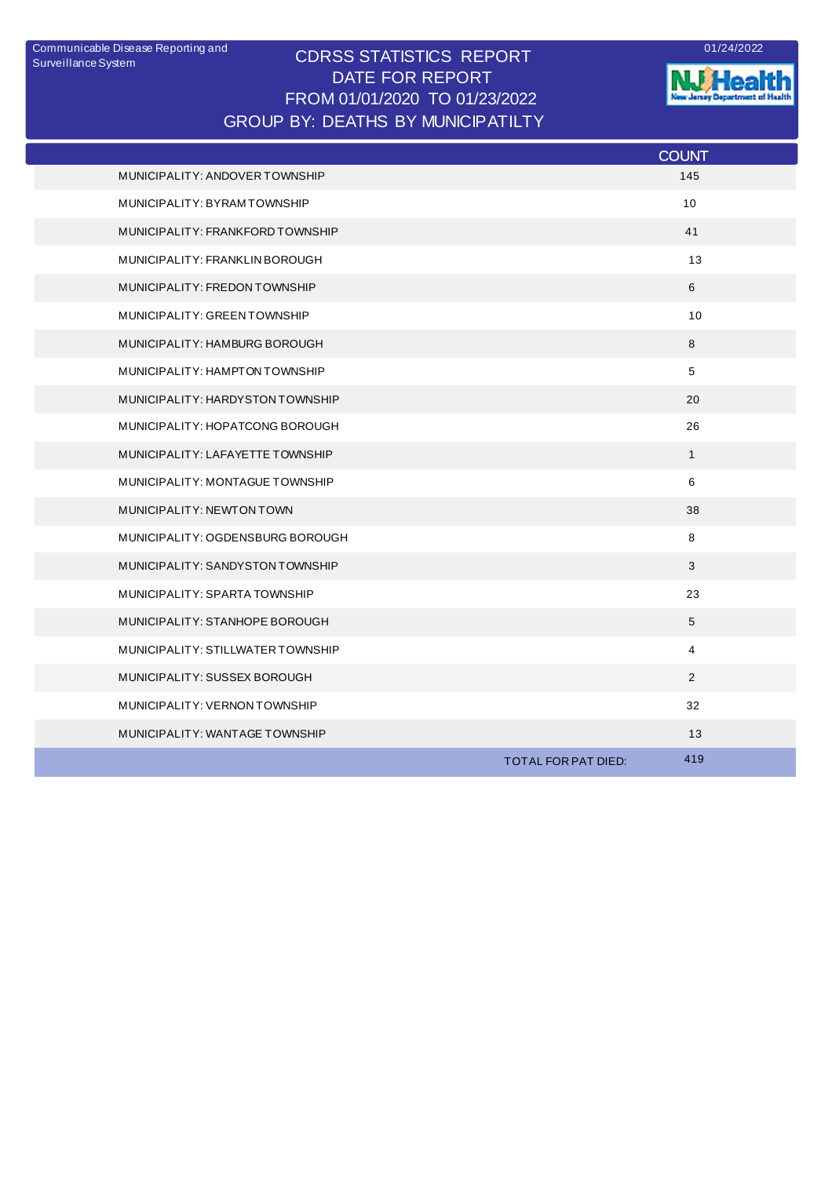## CDRSS STATISTICS REPORT DATE FOR REPORT FROM 01/01/2020 TO 01/23/2022 Communicable Disease Reporting and <br>
CODCO CTATICTICO DEDODT GROUP BY: DEATHS BY MUNICIPATILTY



**NJ Health** 

|                                   |                     | <b>COUNT</b>   |
|-----------------------------------|---------------------|----------------|
| MUNICIPALITY: ANDOVER TOWNSHIP    |                     | 145            |
| MUNICIPALITY: BYRAMTOWNSHIP       |                     | 10             |
| MUNICIPALITY: FRANKFORD TOWNSHIP  |                     | 41             |
| MUNICIPALITY: FRANKLIN BOROUGH    |                     | 13             |
| MUNICIPALITY: FREDON TOWNSHIP     |                     | 6              |
| MUNICIPALITY: GREEN TOWNSHIP      |                     | 10             |
| MUNICIPALITY: HAMBURG BOROUGH     |                     | 8              |
| MUNICIPALITY: HAMPTON TOWNSHIP    |                     | 5              |
| MUNICIPALITY: HARDYSTON TOWNSHIP  |                     | 20             |
| MUNICIPALITY: HOPATCONG BOROUGH   |                     | 26             |
| MUNICIPALITY: LAFAYETTE TOWNSHIP  |                     | $\mathbf{1}$   |
| MUNICIPALITY: MONTAGUE TOWNSHIP   |                     | 6              |
| MUNICIPALITY: NEWTON TOWN         |                     | 38             |
| MUNICIPALITY: OGDENSBURG BOROUGH  |                     | 8              |
| MUNICIPALITY: SANDYSTON TOWNSHIP  |                     | 3              |
| MUNICIPALITY: SPARTA TOWNSHIP     |                     | 23             |
| MUNICIPALITY: STANHOPE BOROUGH    |                     | 5              |
| MUNICIPALITY: STILLWATER TOWNSHIP |                     | $\overline{4}$ |
| MUNICIPALITY: SUSSEX BOROUGH      |                     | $\overline{2}$ |
| MUNICIPALITY: VERNON TOWNSHIP     |                     | 32             |
| MUNICIPALITY: WANTAGE TOWNSHIP    |                     | 13             |
|                                   | TOTAL FOR PAT DIED: | 419            |
|                                   |                     |                |